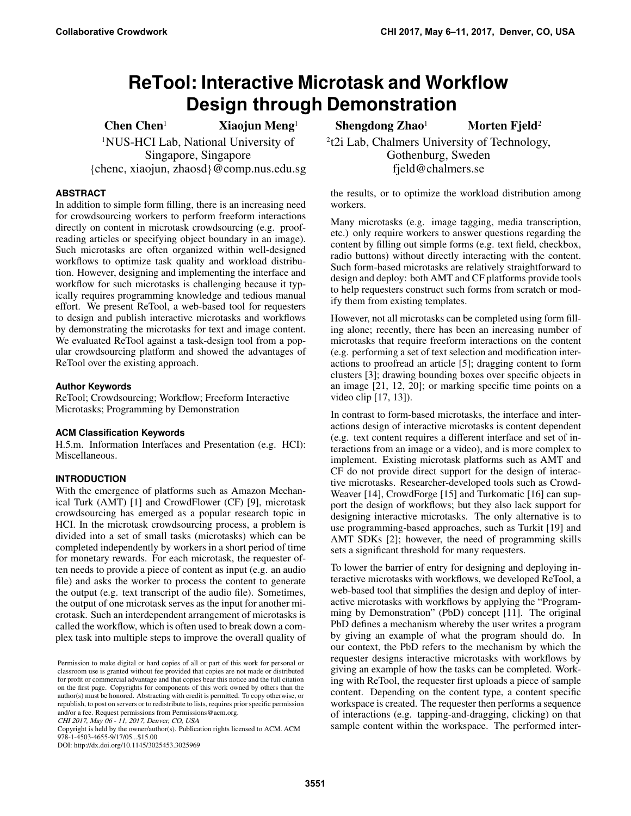# **ReTool: Interactive Microtask and Workflow Design through Demonstration**

1NUS-HCI Lab, National University of Singapore, Singapore *{*chenc, xiaojun, zhaosd*}*@comp.nus.edu.sg

# **ABSTRACT**

In addition to simple form filling, there is an increasing need for crowdsourcing workers to perform freeform interactions directly on content in microtask crowdsourcing (e.g. proofreading articles or specifying object boundary in an image). Such microtasks are often organized within well-designed workflows to optimize task quality and workload distribution. However, designing and implementing the interface and workflow for such microtasks is challenging because it typically requires programming knowledge and tedious manual effort. We present ReTool, a web-based tool for requesters to design and publish interactive microtasks and workflows by demonstrating the microtasks for text and image content. We evaluated ReTool against a task-design tool from a popular crowdsourcing platform and showed the advantages of ReTool over the existing approach.

# **Author Keywords**

ReTool; Crowdsourcing; Workflow; Freeform Interactive Microtasks; Programming by Demonstration

# **ACM Classification Keywords**

H.5.m. Information Interfaces and Presentation (e.g. HCI): Miscellaneous.

# **INTRODUCTION**

With the emergence of platforms such as Amazon Mechanical Turk (AMT) [\[1\]](#page-4-0) and CrowdFlower (CF) [\[9\]](#page-5-0), microtask crowdsourcing has emerged as a popular research topic in HCI. In the microtask crowdsourcing process, a problem is divided into a set of small tasks (microtasks) which can be completed independently by workers in a short period of time for monetary rewards. For each microtask, the requester often needs to provide a piece of content as input (e.g. an audio file) and asks the worker to process the content to generate the output (e.g. text transcript of the audio file). Sometimes, the output of one microtask serves as the input for another microtask. Such an interdependent arrangement of microtasks is called the workflow, which is often used to break down a complex task into multiple steps to improve the overall quality of

CHI 2017, May 06 - 11, 2017, Denver, CO, USA

Copyright is held by the owner/author(s). Publication rights licensed to ACM. ACM 978-1-4503-4655-9/17/05...\$15.00

DOI: http://dx.doi.org/10.1145/3025453.3025969

Chen Chen<sup>1</sup> Xiaojun Meng<sup>1</sup> Shengdong Zhao<sup>1</sup> Morten Fjeld<sup>2</sup>

2t2i Lab, Chalmers University of Technology, Gothenburg, Sweden fjeld@chalmers.se

the results, or to optimize the workload distribution among workers.

Many microtasks (e.g. image tagging, media transcription, etc.) only require workers to answer questions regarding the content by filling out simple forms (e.g. text field, checkbox, radio buttons) without directly interacting with the content. Such form-based microtasks are relatively straightforward to design and deploy: both AMT and CF platforms provide tools to help requesters construct such forms from scratch or modify them from existing templates.

However, not all microtasks can be completed using form filling alone; recently, there has been an increasing number of microtasks that require freeform interactions on the content (e.g. performing a set of text selection and modification interactions to proofread an article [\[5\]](#page-4-1); dragging content to form clusters [\[3\]](#page-4-2); drawing bounding boxes over specific objects in an image [\[21,](#page-5-1) [12,](#page-5-2) [20\]](#page-5-3); or marking specific time points on a video clip [\[17,](#page-5-4) [13\]](#page-5-5)).

In contrast to form-based microtasks, the interface and interactions design of interactive microtasks is content dependent (e.g. text content requires a different interface and set of interactions from an image or a video), and is more complex to implement. Existing microtask platforms such as AMT and CF do not provide direct support for the design of interactive microtasks. Researcher-developed tools such as Crowd-Weaver [\[14\]](#page-5-6), CrowdForge [\[15\]](#page-5-7) and Turkomatic [\[16\]](#page-5-8) can support the design of workflows; but they also lack support for designing interactive microtasks. The only alternative is to use programming-based approaches, such as Turkit [\[19\]](#page-5-9) and AMT SDKs [\[2\]](#page-4-3); however, the need of programming skills sets a significant threshold for many requesters.

To lower the barrier of entry for designing and deploying interactive microtasks with workflows, we developed ReTool, a web-based tool that simplifies the design and deploy of interactive microtasks with workflows by applying the "Programming by Demonstration" (PbD) concept [\[11\]](#page-5-10). The original PbD defines a mechanism whereby the user writes a program by giving an example of what the program should do. In our context, the PbD refers to the mechanism by which the requester designs interactive microtasks with workflows by giving an example of how the tasks can be completed. Working with ReTool, the requester first uploads a piece of sample content. Depending on the content type, a content specific workspace is created. The requester then performs a sequence of interactions (e.g. tapping-and-dragging, clicking) on that sample content within the workspace. The performed inter-

Permission to make digital or hard copies of all or part of this work for personal or classroom use is granted without fee provided that copies are not made or distributed for profit or commercial advantage and that copies bear this notice and the full citation on the first page. Copyrights for components of this work owned by others than the author(s) must be honored. Abstracting with credit is permitted. To copy otherwise, or republish, to post on servers or to redistribute to lists, requires prior specific permission and/or a fee. Request permissions from Permissions@acm.org.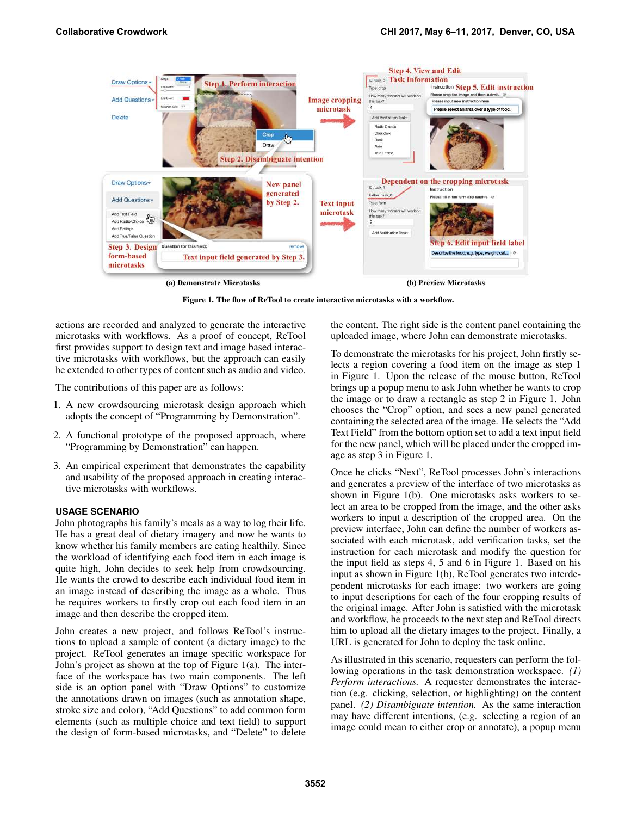

Figure 1. The flow of ReTool to create interactive microtasks with a workflow.

actions are recorded and analyzed to generate the interactive microtasks with workflows. As a proof of concept, ReTool first provides support to design text and image based interactive microtasks with workflows, but the approach can easily be extended to other types of content such as audio and video.

The contributions of this paper are as follows:

- 1. A new crowdsourcing microtask design approach which adopts the concept of "Programming by Demonstration".
- 2. A functional prototype of the proposed approach, where "Programming by Demonstration" can happen.
- 3. An empirical experiment that demonstrates the capability and usability of the proposed approach in creating interactive microtasks with workflows.

#### **USAGE SCENARIO**

John photographs his family's meals as a way to log their life. He has a great deal of dietary imagery and now he wants to know whether his family members are eating healthily. Since the workload of identifying each food item in each image is quite high, John decides to seek help from crowdsourcing. He wants the crowd to describe each individual food item in an image instead of describing the image as a whole. Thus he requires workers to firstly crop out each food item in an image and then describe the cropped item.

John creates a new project, and follows ReTool's instructions to upload a sample of content (a dietary image) to the project. ReTool generates an image specific workspace for John's project as shown at the top of Figure [1\(](#page-1-0)a). The interface of the workspace has two main components. The left side is an option panel with "Draw Options" to customize the annotations drawn on images (such as annotation shape, stroke size and color), "Add Questions" to add common form elements (such as multiple choice and text field) to support the design of form-based microtasks, and "Delete" to delete <span id="page-1-0"></span>the content. The right side is the content panel containing the uploaded image, where John can demonstrate microtasks.

To demonstrate the microtasks for his project, John firstly selects a region covering a food item on the image as step 1 in Figure [1.](#page-1-0) Upon the release of the mouse button, ReTool brings up a popup menu to ask John whether he wants to crop the image or to draw a rectangle as step 2 in Figure [1.](#page-1-0) John chooses the "Crop" option, and sees a new panel generated containing the selected area of the image. He selects the "Add Text Field" from the bottom option set to add a text input field for the new panel, which will be placed under the cropped image as step 3 in Figure [1.](#page-1-0)

Once he clicks "Next", ReTool processes John's interactions and generates a preview of the interface of two microtasks as shown in Figure [1\(](#page-1-0)b). One microtasks asks workers to select an area to be cropped from the image, and the other asks workers to input a description of the cropped area. On the preview interface, John can define the number of workers associated with each microtask, add verification tasks, set the instruction for each microtask and modify the question for the input field as steps 4, 5 and 6 in Figure [1.](#page-1-0) Based on his input as shown in Figure [1\(](#page-1-0)b), ReTool generates two interdependent microtasks for each image: two workers are going to input descriptions for each of the four cropping results of the original image. After John is satisfied with the microtask and workflow, he proceeds to the next step and ReTool directs him to upload all the dietary images to the project. Finally, a URL is generated for John to deploy the task online.

As illustrated in this scenario, requesters can perform the following operations in the task demonstration workspace. *(1) Perform interactions.* A requester demonstrates the interaction (e.g. clicking, selection, or highlighting) on the content panel. *(2) Disambiguate intention.* As the same interaction may have different intentions, (e.g. selecting a region of an image could mean to either crop or annotate), a popup menu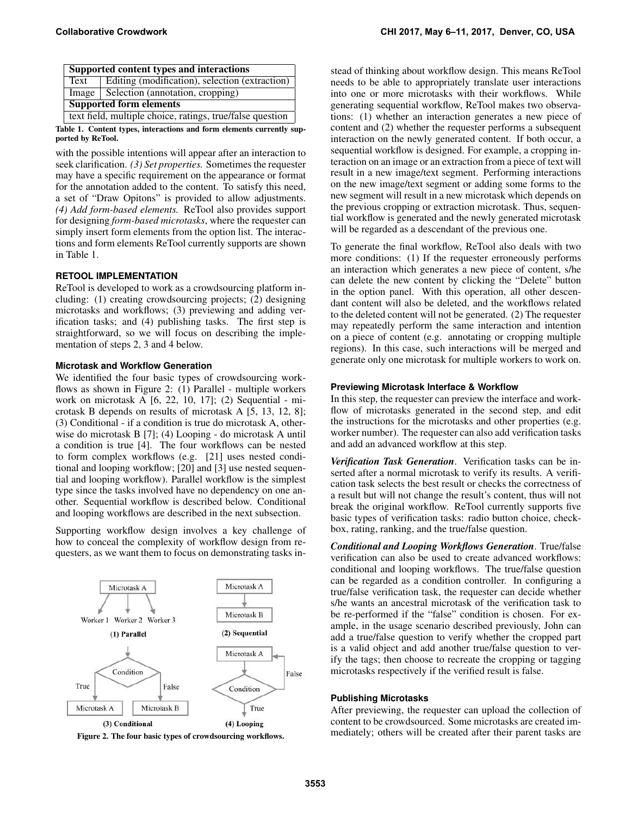| Supported content types and interactions                  |                                                |
|-----------------------------------------------------------|------------------------------------------------|
| Text                                                      | Editing (modification), selection (extraction) |
|                                                           | Image   Selection (annotation, cropping)       |
| <b>Supported form elements</b>                            |                                                |
| text field, multiple choice, ratings, true/false question |                                                |
|                                                           |                                                |

Table 1. Content types, interactions and form elements currently supported by ReTool.

with the possible intentions will appear after an interaction to seek clarification. *(3) Set properties.* Sometimes the requester may have a specific requirement on the appearance or format for the annotation added to the content. To satisfy this need, a set of "Draw Opitons" is provided to allow adjustments. *(4) Add form-based elements.* ReTool also provides support for designing *form-based microtasks*, where the requester can simply insert form elements from the option list. The interactions and form elements ReTool currently supports are shown in Table [1.](#page-2-0)

# **RETOOL IMPLEMENTATION**

ReTool is developed to work as a crowdsourcing platform including: (1) creating crowdsourcing projects; (2) designing microtasks and workflows; (3) previewing and adding verification tasks; and (4) publishing tasks. The first step is straightforward, so we will focus on describing the implementation of steps 2, 3 and 4 below.

#### **Microtask and Workflow Generation**

We identified the four basic types of crowdsourcing workflows as shown in Figure [2:](#page-2-1) (1) Parallel - multiple workers work on microtask A [\[6,](#page-4-4) [22,](#page-5-11) [10,](#page-5-12) [17\]](#page-5-4); (2) Sequential - microtask B depends on results of microtask A [\[5,](#page-4-1) [13,](#page-5-5) [12,](#page-5-2) [8\]](#page-4-5); (3) Conditional - if a condition is true do microtask A, otherwise do microtask B [\[7\]](#page-4-6); (4) Looping - do microtask A until a condition is true [\[4\]](#page-4-7). The four workflows can be nested to form complex workflows (e.g. [\[21\]](#page-5-1) uses nested conditional and looping workflow; [\[20\]](#page-5-3) and [\[3\]](#page-4-2) use nested sequential and looping workflow). Parallel workflow is the simplest type since the tasks involved have no dependency on one another. Sequential workflow is described below. Conditional and looping workflows are described in the next subsection.

Supporting workflow design involves a key challenge of how to conceal the complexity of workflow design from requesters, as we want them to focus on demonstrating tasks in-



<span id="page-2-1"></span>

<span id="page-2-0"></span>stead of thinking about workflow design. This means ReTool needs to be able to appropriately translate user interactions into one or more microtasks with their workflows. While generating sequential workflow, ReTool makes two observations: (1) whether an interaction generates a new piece of content and (2) whether the requester performs a subsequent interaction on the newly generated content. If both occur, a sequential workflow is designed. For example, a cropping interaction on an image or an extraction from a piece of text will result in a new image/text segment. Performing interactions on the new image/text segment or adding some forms to the new segment will result in a new microtask which depends on the previous cropping or extraction microtask. Thus, sequential workflow is generated and the newly generated microtask will be regarded as a descendant of the previous one.

To generate the final workflow, ReTool also deals with two more conditions: (1) If the requester erroneously performs an interaction which generates a new piece of content, s/he can delete the new content by clicking the "Delete" button in the option panel. With this operation, all other descendant content will also be deleted, and the workflows related to the deleted content will not be generated. (2) The requester may repeatedly perform the same interaction and intention on a piece of content (e.g. annotating or cropping multiple regions). In this case, such interactions will be merged and generate only one microtask for multiple workers to work on.

#### **Previewing Microtask Interface & Workflow**

In this step, the requester can preview the interface and workflow of microtasks generated in the second step, and edit the instructions for the microtasks and other properties (e.g. worker number). The requester can also add verification tasks and add an advanced workflow at this step.

*Verification Task Generation*. Verification tasks can be inserted after a normal microtask to verify its results. A verification task selects the best result or checks the correctness of a result but will not change the result's content, thus will not break the original workflow. ReTool currently supports five basic types of verification tasks: radio button choice, checkbox, rating, ranking, and the true/false question.

*Conditional and Looping Workflows Generation*. True/false verification can also be used to create advanced workflows: conditional and looping workflows. The true/false question can be regarded as a condition controller. In configuring a true/false verification task, the requester can decide whether s/he wants an ancestral microtask of the verification task to be re-performed if the "false" condition is chosen. For example, in the usage scenario described previously, John can add a true/false question to verify whether the cropped part is a valid object and add another true/false question to verify the tags; then choose to recreate the cropping or tagging microtasks respectively if the verified result is false.

#### **Publishing Microtasks**

After previewing, the requester can upload the collection of content to be crowdsourced. Some microtasks are created immediately; others will be created after their parent tasks are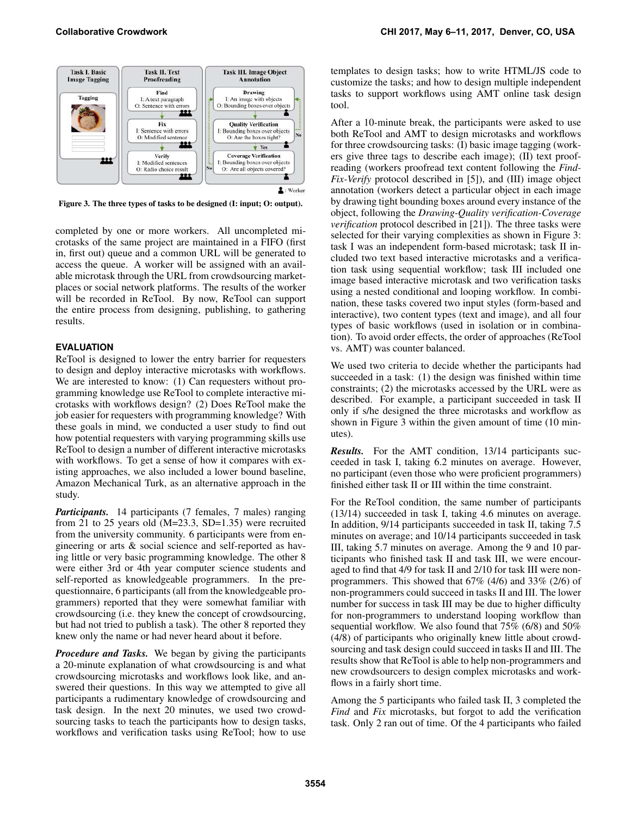

<span id="page-3-0"></span>Figure 3. The three types of tasks to be designed (I: input; O: output).

completed by one or more workers. All uncompleted microtasks of the same project are maintained in a FIFO (first in, first out) queue and a common URL will be generated to access the queue. A worker will be assigned with an available microtask through the URL from crowdsourcing marketplaces or social network platforms. The results of the worker will be recorded in ReTool. By now, ReTool can support the entire process from designing, publishing, to gathering results.

# **EVALUATION**

ReTool is designed to lower the entry barrier for requesters to design and deploy interactive microtasks with workflows. We are interested to know: (1) Can requesters without programming knowledge use ReTool to complete interactive microtasks with workflows design? (2) Does ReTool make the job easier for requesters with programming knowledge? With these goals in mind, we conducted a user study to find out how potential requesters with varying programming skills use ReTool to design a number of different interactive microtasks with workflows. To get a sense of how it compares with existing approaches, we also included a lower bound baseline, Amazon Mechanical Turk, as an alternative approach in the study.

*Participants.* 14 participants (7 females, 7 males) ranging from 21 to 25 years old  $(M=23.3, SD=1.35)$  were recruited from the university community. 6 participants were from engineering or arts & social science and self-reported as having little or very basic programming knowledge. The other 8 were either 3rd or 4th year computer science students and self-reported as knowledgeable programmers. In the prequestionnaire, 6 participants (all from the knowledgeable programmers) reported that they were somewhat familiar with crowdsourcing (i.e. they knew the concept of crowdsourcing, but had not tried to publish a task). The other 8 reported they knew only the name or had never heard about it before.

*Procedure and Tasks.* We began by giving the participants a 20-minute explanation of what crowdsourcing is and what crowdsourcing microtasks and workflows look like, and answered their questions. In this way we attempted to give all participants a rudimentary knowledge of crowdsourcing and task design. In the next 20 minutes, we used two crowdsourcing tasks to teach the participants how to design tasks, workflows and verification tasks using ReTool; how to use

templates to design tasks; how to write HTML/JS code to customize the tasks; and how to design multiple independent tasks to support workflows using AMT online task design tool.

After a 10-minute break, the participants were asked to use both ReTool and AMT to design microtasks and workflows for three crowdsourcing tasks: (I) basic image tagging (workers give three tags to describe each image); (II) text proofreading (workers proofread text content following the *Find-Fix-Verify* protocol described in [\[5\]](#page-4-1)), and (III) image object annotation (workers detect a particular object in each image by drawing tight bounding boxes around every instance of the object, following the *Drawing-Quality verification-Coverage verification* protocol described in [\[21\]](#page-5-1)). The three tasks were selected for their varying complexities as shown in Figure [3:](#page-3-0) task I was an independent form-based microtask; task II included two text based interactive microtasks and a verification task using sequential workflow; task III included one image based interactive microtask and two verification tasks using a nested conditional and looping workflow. In combination, these tasks covered two input styles (form-based and interactive), two content types (text and image), and all four types of basic workflows (used in isolation or in combination). To avoid order effects, the order of approaches (ReTool vs. AMT) was counter balanced.

We used two criteria to decide whether the participants had succeeded in a task: (1) the design was finished within time constraints; (2) the microtasks accessed by the URL were as described. For example, a participant succeeded in task II only if s/he designed the three microtasks and workflow as shown in Figure [3](#page-3-0) within the given amount of time (10 minutes).

*Results.* For the AMT condition, 13/14 participants succeeded in task I, taking 6.2 minutes on average. However, no participant (even those who were proficient programmers) finished either task II or III within the time constraint.

For the ReTool condition, the same number of participants (13/14) succeeded in task I, taking 4.6 minutes on average. In addition, 9/14 participants succeeded in task II, taking 7.5 minutes on average; and 10/14 participants succeeded in task III, taking 5.7 minutes on average. Among the 9 and 10 participants who finished task II and task III, we were encouraged to find that 4/9 for task II and 2/10 for task III were nonprogrammers. This showed that 67% (4/6) and 33% (2/6) of non-programmers could succeed in tasks II and III. The lower number for success in task III may be due to higher difficulty for non-programmers to understand looping workflow than sequential workflow. We also found that 75% (6/8) and 50% (4/8) of participants who originally knew little about crowdsourcing and task design could succeed in tasks II and III. The results show that ReTool is able to help non-programmers and new crowdsourcers to design complex microtasks and workflows in a fairly short time.

Among the 5 participants who failed task II, 3 completed the *Find* and *Fix* microtasks, but forgot to add the verification task. Only 2 ran out of time. Of the 4 participants who failed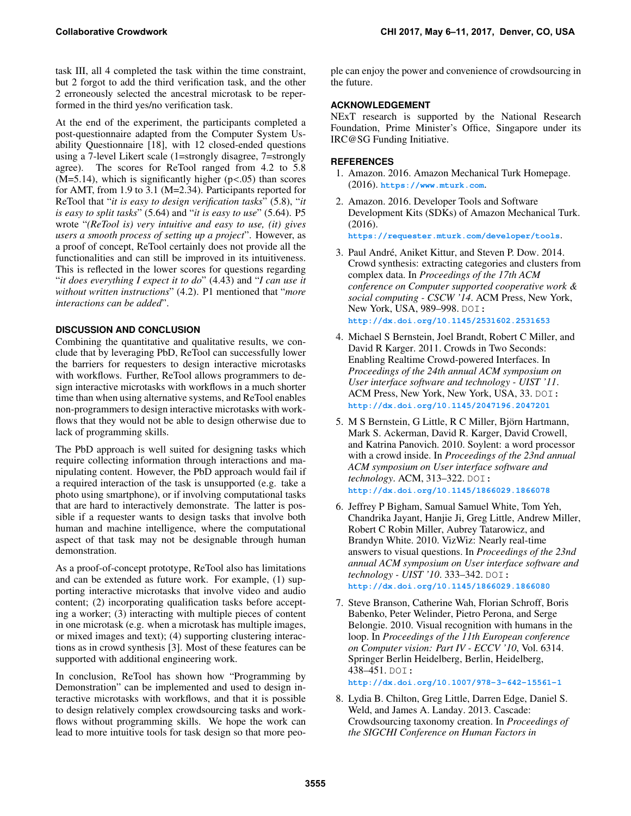task III, all 4 completed the task within the time constraint, but 2 forgot to add the third verification task, and the other 2 erroneously selected the ancestral microtask to be reperformed in the third yes/no verification task.

At the end of the experiment, the participants completed a post-questionnaire adapted from the Computer System Usability Questionnaire [\[18\]](#page-5-13), with 12 closed-ended questions using a 7-level Likert scale (1=strongly disagree, 7=strongly agree). The scores for ReTool ranged from 4.2 to 5.8  $(M=5.14)$ , which is significantly higher ( $p<.05$ ) than scores for AMT, from 1.9 to 3.1 (M=2.34). Participants reported for ReTool that "*it is easy to design verification tasks*" (5.8), "*it is easy to split tasks*" (5.64) and "*it is easy to use*" (5.64). P5 wrote "*(ReTool is) very intuitive and easy to use, (it) gives users a smooth process of setting up a project*". However, as a proof of concept, ReTool certainly does not provide all the functionalities and can still be improved in its intuitiveness. This is reflected in the lower scores for questions regarding "*it does everything I expect it to do*" (4.43) and "*I can use it without written instructions*" (4.2). P1 mentioned that "*more interactions can be added*".

# **DISCUSSION AND CONCLUSION**

Combining the quantitative and qualitative results, we conclude that by leveraging PbD, ReTool can successfully lower the barriers for requesters to design interactive microtasks with workflows. Further, ReTool allows programmers to design interactive microtasks with workflows in a much shorter time than when using alternative systems, and ReTool enables non-programmers to design interactive microtasks with workflows that they would not be able to design otherwise due to lack of programming skills.

The PbD approach is well suited for designing tasks which require collecting information through interactions and manipulating content. However, the PbD approach would fail if a required interaction of the task is unsupported (e.g. take a photo using smartphone), or if involving computational tasks that are hard to interactively demonstrate. The latter is possible if a requester wants to design tasks that involve both human and machine intelligence, where the computational aspect of that task may not be designable through human demonstration.

As a proof-of-concept prototype, ReTool also has limitations and can be extended as future work. For example, (1) supporting interactive microtasks that involve video and audio content; (2) incorporating qualification tasks before accepting a worker; (3) interacting with multiple pieces of content in one microtask (e.g. when a microtask has multiple images, or mixed images and text); (4) supporting clustering interactions as in crowd synthesis [\[3\]](#page-4-2). Most of these features can be supported with additional engineering work.

In conclusion, ReTool has shown how "Programming by Demonstration" can be implemented and used to design interactive microtasks with workflows, and that it is possible to design relatively complex crowdsourcing tasks and workflows without programming skills. We hope the work can lead to more intuitive tools for task design so that more people can enjoy the power and convenience of crowdsourcing in the future.

# **ACKNOWLEDGEMENT**

NExT research is supported by the National Research Foundation, Prime Minister's Office, Singapore under its IRC@SG Funding Initiative.

# <span id="page-4-0"></span>**REFERENCES**

- 1. Amazon. 2016. Amazon Mechanical Turk Homepage. (2016). **<https://www.mturk.com>**.
- <span id="page-4-3"></span>2. Amazon. 2016. Developer Tools and Software Development Kits (SDKs) of Amazon Mechanical Turk. (2016).

**<https://requester.mturk.com/developer/tools>**.

- <span id="page-4-2"></span>3. Paul André, Aniket Kittur, and Steven P. Dow. 2014. Crowd synthesis: extracting categories and clusters from complex data. In *Proceedings of the 17th ACM conference on Computer supported cooperative work & social computing - CSCW '14*. ACM Press, New York, New York, USA, 989–998. DOI: **<http://dx.doi.org/10.1145/2531602.2531653>**
- <span id="page-4-7"></span>4. Michael S Bernstein, Joel Brandt, Robert C Miller, and David R Karger. 2011. Crowds in Two Seconds: Enabling Realtime Crowd-powered Interfaces. In *Proceedings of the 24th annual ACM symposium on User interface software and technology - UIST '11*. ACM Press, New York, New York, USA, 33. DOI: **<http://dx.doi.org/10.1145/2047196.2047201>**
- <span id="page-4-1"></span>5. M S Bernstein, G Little, R C Miller, Björn Hartmann, Mark S. Ackerman, David R. Karger, David Crowell, and Katrina Panovich. 2010. Soylent: a word processor with a crowd inside. In *Proceedings of the 23nd annual ACM symposium on User interface software and technology*. ACM, 313–322. DOI: **<http://dx.doi.org/10.1145/1866029.1866078>**
- <span id="page-4-4"></span>6. Jeffrey P Bigham, Samual Samuel White, Tom Yeh, Chandrika Jayant, Hanjie Ji, Greg Little, Andrew Miller, Robert C Robin Miller, Aubrey Tatarowicz, and Brandyn White. 2010. VizWiz: Nearly real-time answers to visual questions. In *Proceedings of the 23nd annual ACM symposium on User interface software and technology - UIST '10*. 333–342. DOI: **<http://dx.doi.org/10.1145/1866029.1866080>**
- <span id="page-4-6"></span>7. Steve Branson, Catherine Wah, Florian Schroff, Boris Babenko, Peter Welinder, Pietro Perona, and Serge Belongie. 2010. Visual recognition with humans in the loop. In *Proceedings of the 11th European conference on Computer vision: Part IV - ECCV '10*, Vol. 6314. Springer Berlin Heidelberg, Berlin, Heidelberg, 438–451. DOI:

**<http://dx.doi.org/10.1007/978-3-642-15561-1>**

<span id="page-4-5"></span>8. Lydia B. Chilton, Greg Little, Darren Edge, Daniel S. Weld, and James A. Landay. 2013. Cascade: Crowdsourcing taxonomy creation. In *Proceedings of the SIGCHI Conference on Human Factors in*